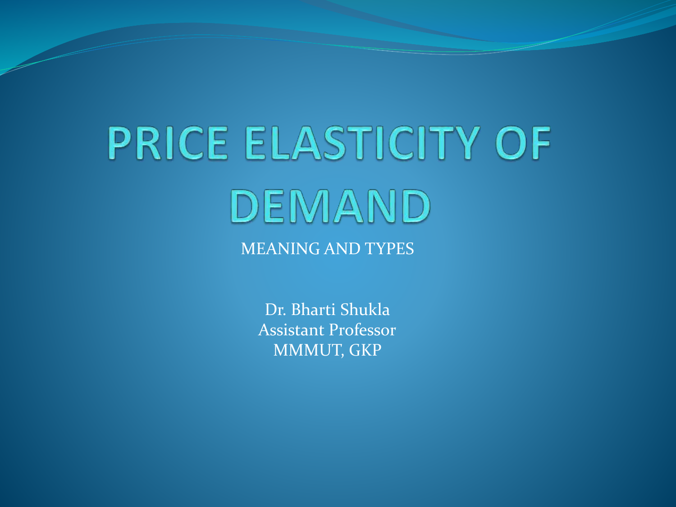# **PRICE ELASTICITY OF** DEMAND MEANING AND TYPES

Dr. Bharti Shukla Assistant Professor MMMUT, GKP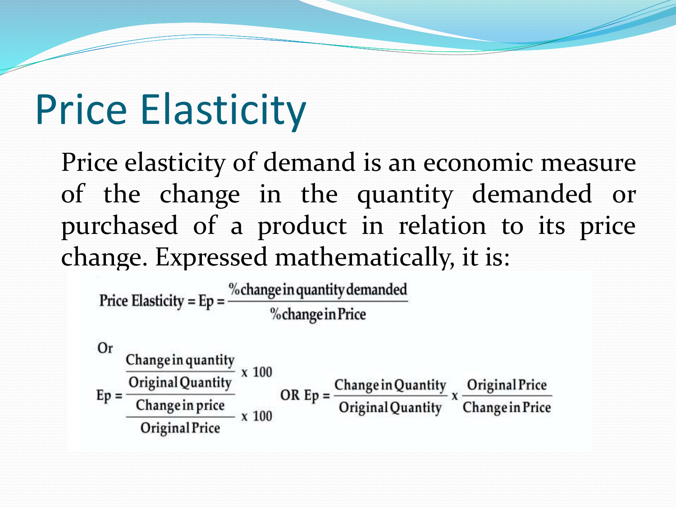## Price Elasticity

Price elasticity of demand is an economic measure of the change in the quantity demanded or purchased of a product in relation to its price change. Expressed mathematically, it is:

Price Elasticity = Ep =  $\frac{\% \text{change in quantity demanded}}{\% \text{change in Price}}$ %change in Price

Or Change in quantity x 100 Original Quantity OR  $Ep = \frac{Change in Quantity}{Original Quantity} \times \frac{Original Price}{Change in Price}$  $Ep =$  $\frac{\text{Change in price}}{\text{Change in price}}$  x 100 Change in Price Original Price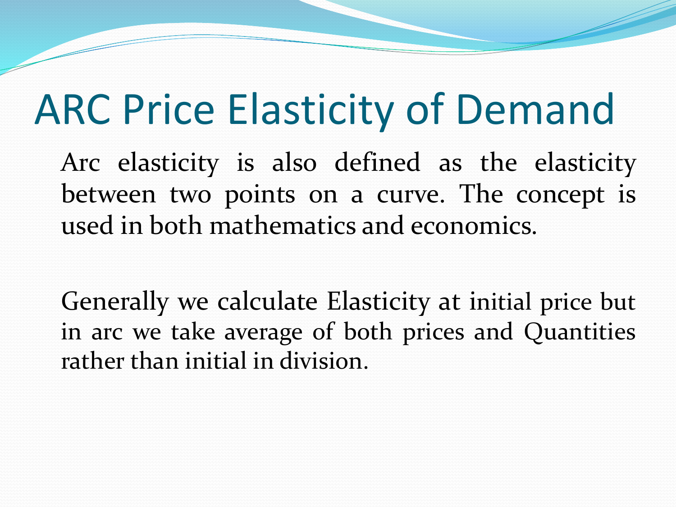# ARC Price Elasticity of Demand

Arc elasticity is also defined as the elasticity between two points on a curve. The concept is used in both mathematics and economics.

Generally we calculate Elasticity at initial price but in arc we take average of both prices and Quantities rather than initial in division.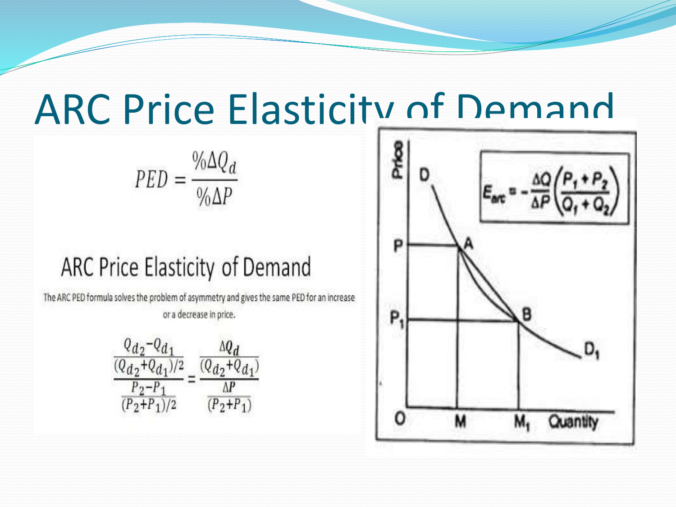## ARC Price Elasticity of Demand

 $\text{PED} = \frac{\% \Delta Q_d}{\% \Delta P}$ 

#### ARC Price Elasticity of Demand

The ARC PED formula solves the problem of asymmetry and gives the same PED for an increase or a decrease in price.



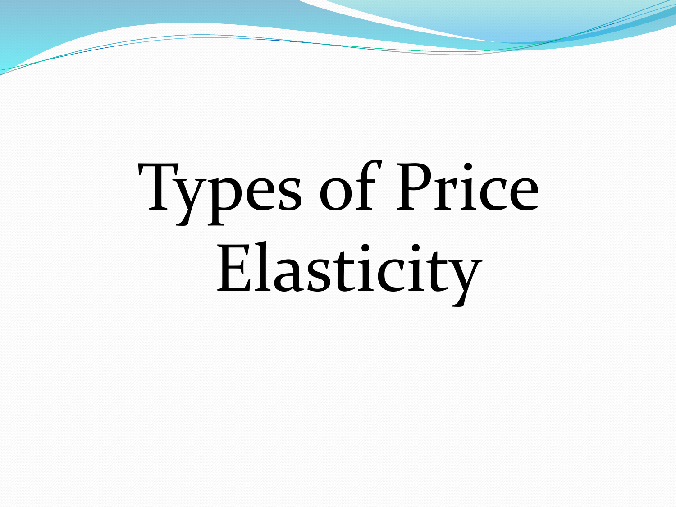# Types of Price Elasticity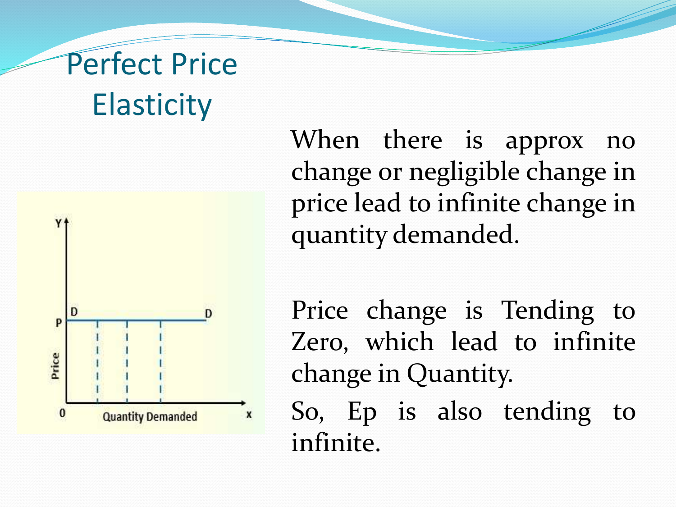## Perfect Price **Elasticity**



When there is approx no change or negligible change in price lead to infinite change in quantity demanded.

Price change is Tending to Zero, which lead to infinite change in Quantity.

So, Ep is also tending to infinite.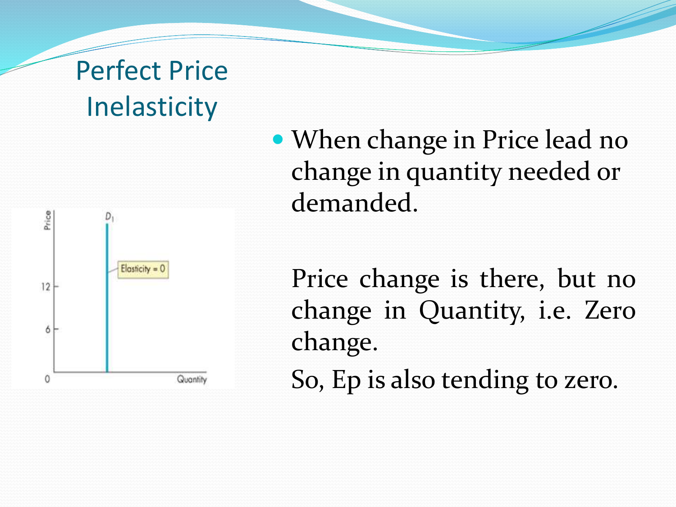### Perfect Price **Inelasticity**



 When change in Price lead no change in quantity needed or demanded.

Price change is there, but no change in Quantity, i.e. Zero change. So, Ep is also tending to zero.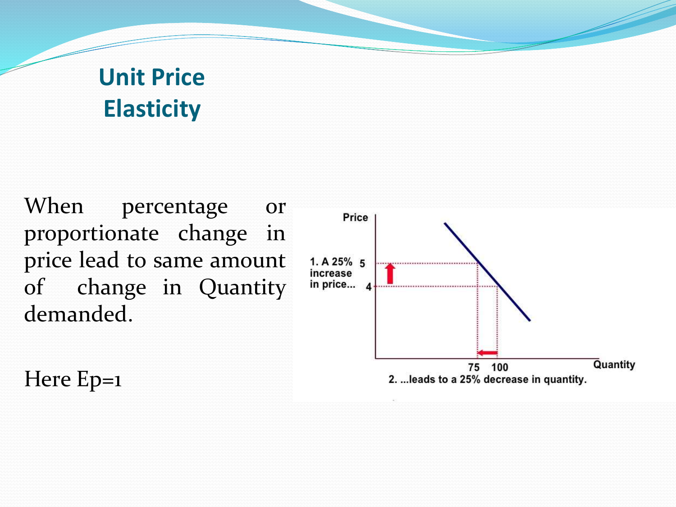#### **Unit Price Elasticity**

When percentage or proportionate change in price lead to same amount of change in Quantity demanded.

Here Ep=1

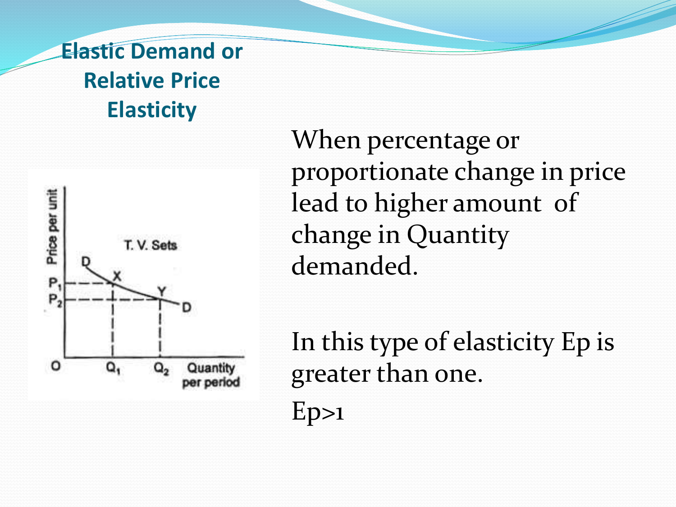#### **Elastic Demand or Relative Price Elasticity**



When percentage or proportionate change in price lead to higher amount of change in Quantity demanded.

In this type of elasticity Ep is greater than one.  $Ep>1$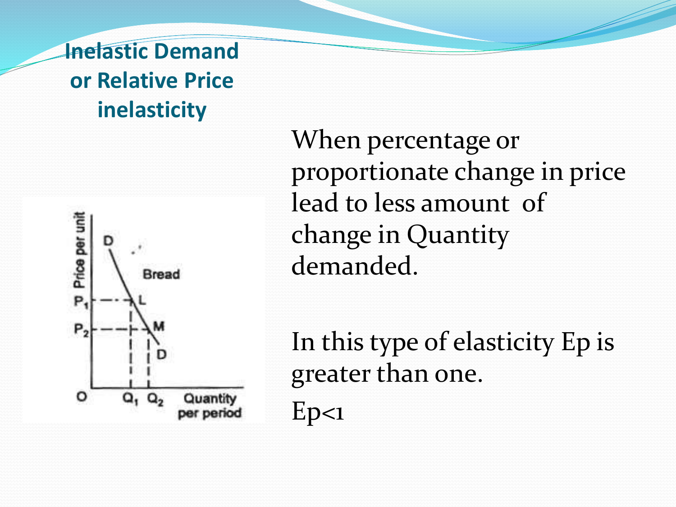**Inelastic Demand or Relative Price inelasticity**



When percentage or proportionate change in price lead to less amount of change in Quantity demanded.

In this type of elasticity Ep is greater than one.  $Ep<1$